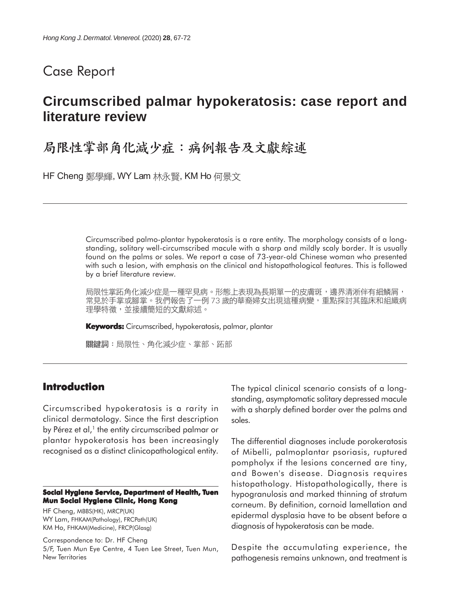# Case Report

# **Circumscribed palmar hypokeratosis: case report and literature review**

# 局限性掌部角化减少症:病例報告及文獻綜述

HF Cheng 鄭學輝, WY Lam 林永賢, KM Ho 何景文

Circumscribed palmo-plantar hypokeratosis is a rare entity. The morphology consists of a longstanding, solitary well-circumscribed macule with a sharp and mildly scaly border. It is usually found on the palms or soles. We report a case of 73-year-old Chinese woman who presented with such a lesion, with emphasis on the clinical and histopathological features. This is followed by a brief literature review.

局限性掌跖角化減少症是一種罕見病。形態上表現為長期單一的皮膚斑,邊界清淅伴有細鱗屑, 常見於手掌或腳掌。我們報告了一例 73 歲的華裔婦女出現這種病變,重點探討其臨床和組織病 理學特徵,並接續簡短的文獻綜述。

**Keywords:** Circumscribed, hypokeratosis, palmar, plantar

關鍵詞:局限性、角化減少症、掌部、跖部

### **Introduction**

Circumscribed hypokeratosis is a rarity in clinical dermatology. Since the first description by Pérez et al, $<sup>1</sup>$  the entity circumscribed palmar or</sup> plantar hypokeratosis has been increasingly recognised as a distinct clinicopathological entity.

#### **Social Hygiene Service, Department of Health, Tuen Mun Social Hygiene Clinic, Hong Kong**

HF Cheng, MBBS(HK), MRCP(UK) WY Lam, FHKAM(Pathology), FRCPath(UK) KM Ho, FHKAM(Medicine), FRCP(Glasg)

Correspondence to: Dr. HF Cheng 5/F, Tuen Mun Eye Centre, 4 Tuen Lee Street, Tuen Mun, New Territories

The typical clinical scenario consists of a longstanding, asymptomatic solitary depressed macule with a sharply defined border over the palms and soles.

The differential diagnoses include porokeratosis of Mibelli, palmoplantar psoriasis, ruptured pompholyx if the lesions concerned are tiny, and Bowen's disease. Diagnosis requires histopathology. Histopathologically, there is hypogranulosis and marked thinning of stratum corneum. By definition, cornoid lamellation and epidermal dysplasia have to be absent before a diagnosis of hypokeratosis can be made.

Despite the accumulating experience, the pathogenesis remains unknown, and treatment is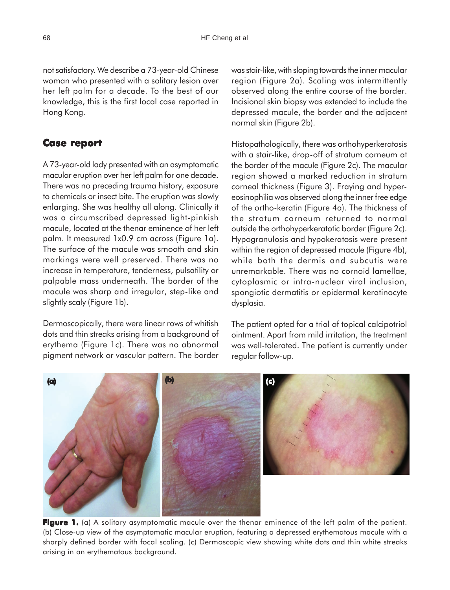not satisfactory. We describe a 73-year-old Chinese woman who presented with a solitary lesion over her left palm for a decade. To the best of our knowledge, this is the first local case reported in Hong Kong.

# **Case report Case**

A 73-year-old lady presented with an asymptomatic macular eruption over her left palm for one decade. There was no preceding trauma history, exposure to chemicals or insect bite. The eruption was slowly enlarging. She was healthy all along. Clinically it was a circumscribed depressed light-pinkish macule, located at the thenar eminence of her left palm. It measured 1x0.9 cm across (Figure 1a). The surface of the macule was smooth and skin markings were well preserved. There was no increase in temperature, tenderness, pulsatility or palpable mass underneath. The border of the macule was sharp and irregular, step-like and slightly scaly (Figure 1b).

Dermoscopically, there were linear rows of whitish dots and thin streaks arising from a background of erythema (Figure 1c). There was no abnormal pigment network or vascular pattern. The border

was stair-like, with sloping towards the inner macular region (Figure 2a). Scaling was intermittently observed along the entire course of the border. Incisional skin biopsy was extended to include the depressed macule, the border and the adjacent normal skin (Figure 2b).

Histopathologically, there was orthohyperkeratosis with a stair-like, drop-off of stratum corneum at the border of the macule (Figure 2c). The macular region showed a marked reduction in stratum corneal thickness (Figure 3). Fraying and hypereosinophilia was observed along the inner free edge of the ortho-keratin (Figure 4a). The thickness of the stratum corneum returned to normal outside the orthohyperkeratotic border (Figure 2c). Hypogranulosis and hypokeratosis were present within the region of depressed macule (Figure 4b), while both the dermis and subcutis were unremarkable. There was no cornoid lamellae, cytoplasmic or intra-nuclear viral inclusion, spongiotic dermatitis or epidermal keratinocyte dysplasia.

The patient opted for a trial of topical calcipotriol ointment. Apart from mild irritation, the treatment was well-tolerated. The patient is currently under regular follow-up.



**Figure 1.** (a) A solitary asymptomatic macule over the thenar eminence of the left palm of the patient. (b) Close-up view of the asymptomatic macular eruption, featuring a depressed erythematous macule with a sharply defined border with focal scaling. (c) Dermoscopic view showing white dots and thin white streaks arising in an erythematous background.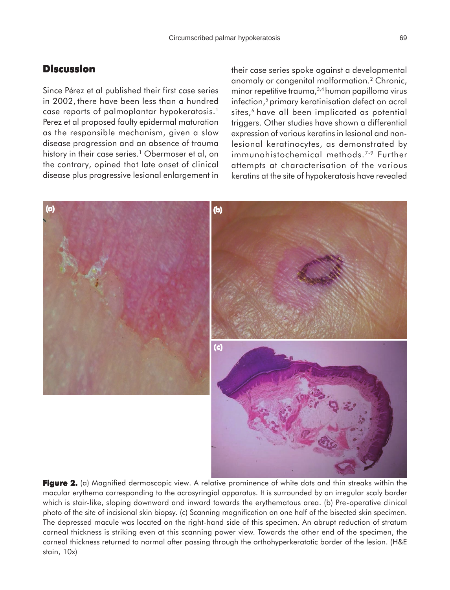## **Discussion**

Since Pérez et al published their first case series in 2002, there have been less than a hundred case reports of palmoplantar hypokeratosis.1 Perez et al proposed faulty epidermal maturation as the responsible mechanism, given a slow disease progression and an absence of trauma history in their case series.<sup>1</sup> Obermoser et al, on the contrary, opined that late onset of clinical disease plus progressive lesional enlargement in their case series spoke against a developmental anomaly or congenital malformation.2 Chronic, minor repetitive trauma,3,4 human papilloma virus infection,<sup>5</sup> primary keratinisation defect on acral sites,<sup>6</sup> have all been implicated as potential triggers. Other studies have shown a differential expression of various keratins in lesional and nonlesional keratinocytes, as demonstrated by immunohistochemical methods.<sup>7-9</sup> Further attempts at characterisation of the various keratins at the site of hypokeratosis have revealed



macular erythema corresponding to the acrosyringial apparatus. It is surrounded by an irregular scaly border which is stair-like, sloping downward and inward towards the erythematous area. (b) Pre-operative clinical photo of the site of incisional skin biopsy. (c) Scanning magnification on one half of the bisected skin specimen. The depressed macule was located on the right-hand side of this specimen. An abrupt reduction of stratum corneal thickness is striking even at this scanning power view. Towards the other end of the specimen, the corneal thickness returned to normal after passing through the orthohyperkeratotic border of the lesion. (H&E stain, 10x)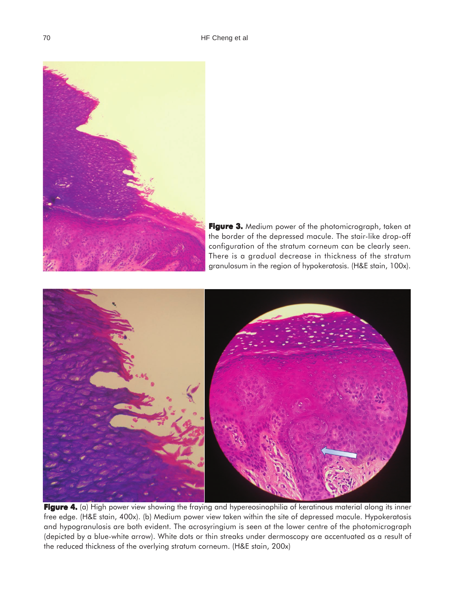

Figure 3. Medium power of the photomicrograph, taken at the border of the depressed macule. The stair-like drop-off configuration of the stratum corneum can be clearly seen. There is a gradual decrease in thickness of the stratum granulosum in the region of hypokeratosis. (H&E stain, 100x).



**Figure 4.** (a) High power view showing the fraying and hypereosinophilia of keratinous material along its inner free edge. (H&E stain, 400x). (b) Medium power view taken within the site of depressed macule. Hypokeratosis and hypogranulosis are both evident. The acrosyringium is seen at the lower centre of the photomicrograph (depicted by a blue-white arrow). White dots or thin streaks under dermoscopy are accentuated as a result of the reduced thickness of the overlying stratum corneum. (H&E stain, 200x)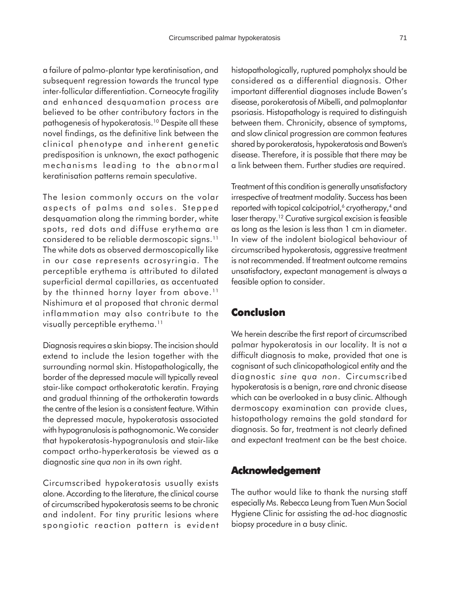a failure of palmo-plantar type keratinisation, and subsequent regression towards the truncal type inter-follicular differentiation. Corneocyte fragility and enhanced desquamation process are believed to be other contributory factors in the pathogenesis of hypokeratosis.10 Despite all these novel findings, as the definitive link between the clinical phenotype and inherent genetic predisposition is unknown, the exact pathogenic mechanisms leading to the abnormal keratinisation patterns remain speculative.

The lesion commonly occurs on the volar aspects of palms and soles. Stepped desquamation along the rimming border, white spots, red dots and diffuse erythema are considered to be reliable dermoscopic signs.11 The white dots as observed dermoscopically like in our case represents acrosyringia. The perceptible erythema is attributed to dilated superficial dermal capillaries, as accentuated by the thinned horny layer from above.<sup>11</sup> Nishimura et al proposed that chronic dermal inflammation may also contribute to the visually perceptible erythema.<sup>11</sup>

Diagnosis requires a skin biopsy. The incision should extend to include the lesion together with the surrounding normal skin. Histopathologically, the border of the depressed macule will typically reveal stair-like compact orthokeratotic keratin. Fraying and gradual thinning of the orthokeratin towards the centre of the lesion is a consistent feature. Within the depressed macule, hypokeratosis associated with hypogranulosis is pathognomonic. We consider that hypokeratosis-hypogranulosis and stair-like compact ortho-hyperkeratosis be viewed as a diagnostic *sine qua non* in its own right.

Circumscribed hypokeratosis usually exists alone. According to the literature, the clinical course of circumscribed hypokeratosis seems to be chronic and indolent. For tiny pruritic lesions where spongiotic reaction pattern is evident histopathologically, ruptured pompholyx should be considered as a differential diagnosis. Other important differential diagnoses include Bowen's disease, porokeratosis of Mibelli, and palmoplantar psoriasis. Histopathology is required to distinguish between them. Chronicity, absence of symptoms, and slow clinical progression are common features shared by porokeratosis, hypokeratosis and Bowen's disease. Therefore, it is possible that there may be a link between them. Further studies are required.

Treatment of this condition is generally unsatisfactory irrespective of treatment modality. Success has been reported with topical calcipotriol,<sup>6</sup> cryotherapy,<sup>4</sup> and laser therapy.<sup>12</sup> Curative surgical excision is feasible as long as the lesion is less than 1 cm in diameter. In view of the indolent biological behaviour of circumscribed hypokeratosis, aggressive treatment is not recommended. If treatment outcome remains unsatisfactory, expectant management is always a feasible option to consider.

### **Conclusion**

We herein describe the first report of circumscribed palmar hypokeratosis in our locality. It is not a difficult diagnosis to make, provided that one is cognisant of such clinicopathological entity and the diagnostic *sine qua non*. Circumscribed hypokeratosis is a benign, rare and chronic disease which can be overlooked in a busy clinic. Although dermoscopy examination can provide clues, histopathology remains the gold standard for diagnosis. So far, treatment is not clearly defined and expectant treatment can be the best choice.

#### **Acknowledgement**

The author would like to thank the nursing staff especially Ms. Rebecca Leung from Tuen Mun Social Hygiene Clinic for assisting the ad-hoc diagnostic biopsy procedure in a busy clinic.